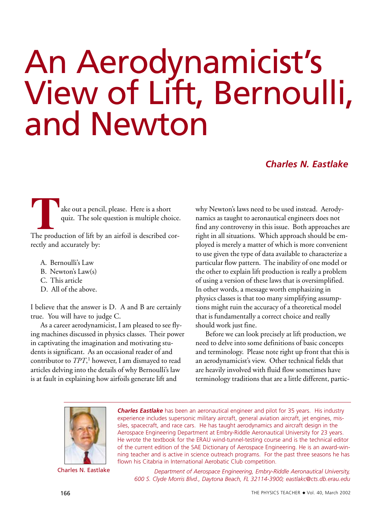# An Aerodynamicist's View of Lift, Bernoulli, and Newton

# *Charles N. Eastlake*

ake out a pencil, please. Here is a short quiz. The sole question is multiple choice.

The production of lift by an airfoil is described correctly and accurately by:

- A. Bernoulli's Law
- B. Newton's Law(s)
- C. This article
- D. All of the above.

I believe that the answer is D. A and B are certainly true. You will have to judge C.

As a career aerodynamicist, I am pleased to see flying machines discussed in physics classes. Their power in captivating the imagination and motivating students is significant. As an occasional reader of and contributor to *TPT*, <sup>1</sup> however, I am dismayed to read articles delving into the details of why Bernoulli's law is at fault in explaining how airfoils generate lift and

why Newton's laws need to be used instead. Aerodynamics as taught to aeronautical engineers does not find any controversy in this issue. Both approaches are right in all situations. Which approach should be employed is merely a matter of which is more convenient to use given the type of data available to characterize a particular flow pattern. The inability of one model or the other to explain lift production is really a problem of using a version of these laws that is oversimplified. In other words, a message worth emphasizing in physics classes is that too many simplifying assumptions might ruin the accuracy of a theoretical model that is fundamentally a correct choice and really should work just fine.

Before we can look precisely at lift production, we need to delve into some definitions of basic concepts and terminology. Please note right up front that this is an aerodynamicist's view. Other technical fields that are heavily involved with fluid flow sometimes have terminology traditions that are a little different, partic-



Charles N. Eastlake

*Charles Eastlake* has been an aeronautical engineer and pilot for 35 years. His industry experience includes supersonic military aircraft, general aviation aircraft, jet engines, missiles, spacecraft, and race cars. He has taught aerodynamics and aircraft design in the Aerospace Engineering Department at Embry-Riddle Aeronautical University for 23 years. He wrote the textbook for the ERAU wind-tunnel-testing course and is the technical editor of the current edition of the SAE Dictionary of Aerospace Engineering. He is an award-winning teacher and is active in science outreach programs. For the past three seasons he has flown his Citabria in International Aerobatic Club competition.

*Department of Aerospace Engineering, Embry-Riddle Aeronautical University, 600 S. Clyde Morris Blvd., Daytona Beach, FL 32114-3900; eastlakc@cts.db.erau.edu*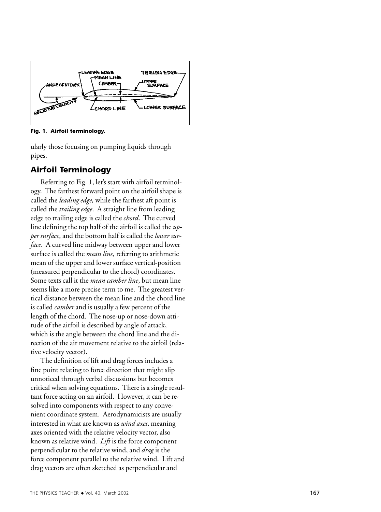

**Fig. 1. Airfoil terminology.**

ularly those focusing on pumping liquids through pipes.

# **Airfoil Terminology**

Referring to Fig. 1, let's start with airfoil terminology. The farthest forward point on the airfoil shape is called the *leading edge,* while the farthest aft point is called the *trailing edge*. A straight line from leading edge to trailing edge is called the *chord*. The curved line defining the top half of the airfoil is called the *upper surface*, and the bottom half is called the *lower surface*. A curved line midway between upper and lower surface is called the *mean line*, referring to arithmetic mean of the upper and lower surface vertical-position (measured perpendicular to the chord) coordinates. Some texts call it the *mean camber line*, but mean line seems like a more precise term to me. The greatest vertical distance between the mean line and the chord line is called *camber* and is usually a few percent of the length of the chord. The nose-up or nose-down attitude of the airfoil is described by angle of attack, which is the angle between the chord line and the di rection of the air movement relative to the airfoil (relative velocity vector).

The definition of lift and drag forces includes a fine point relating to force direction that might slip unnoticed through verbal discussions but becomes critical when solving equations. There is a single resultant force acting on an airfoil. However, it can be resolved into components with respect to any convenient coordinate system. Aerodynamicists are usually interested in what are known as *wind axes*, meaning axes oriented with the relative velocity vector, also known as relative wind. *Lift* is the force component perpendicular to the relative wind, and *drag* is the force component parallel to the relative wind. Lift and drag vectors are often sketched as perpendicular and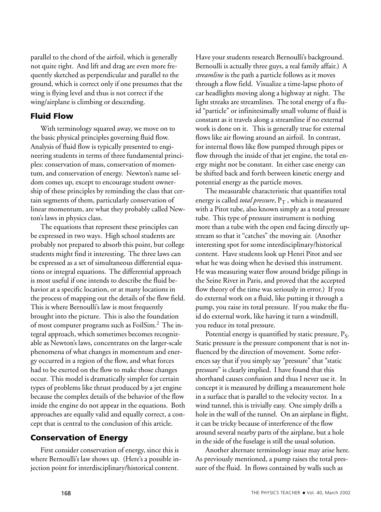parallel to the chord of the airfoil, which is generally not quite right. And lift and drag are even more frequently sketched as perpendicular and parallel to the ground, which is correct only if one presumes that the wing is flying level and thus is not correct if the wing/airplane is climbing or descending.

# **Fluid Flow**

With terminology squared away, we move on to the basic physical principles governing fluid flow. Analysis of fluid flow is typically presented to engineering students in terms of three fundamental principles: conservation of mass, conservation of momentum, and conservation of energy. Newton's name seldom comes up, except to encourage student ownership of these principles by reminding the class that certain segments of them, particularly conservation of linear momentum, are what they probably called Newton's laws in physics class.

The equations that represent these principles can be expressed in two ways. High school students are probably not prepared to absorb this point, but college students might find it interesting. The three laws can be expressed as a set of simultaneous differential equations or integral equations. The differential approach is most useful if one intends to describe the fluid behavior at a specific location, or at many locations in the process of mapping out the details of the flow field. This is where Bernoulli's law is most frequently brought into the picture. This is also the foundation of most computer programs such as FoilSim.2 The integral approach, which sometimes becomes recognizable as Newton's laws, concentrates on the larger-scale phenomena of what changes in momentum and energy occurred in a region of the flow, and what forces had to be exerted on the flow to make those changes occur. This model is dramatically simpler for certain types of problems like thrust produced by a jet engine because the complex details of the behavior of the flow inside the engine do not appear in the equations. Both approaches are equally valid and equally correct, a concept that is central to the conclusion of this article.

### **Conservation of Energy**

First consider conservation of energy, since this is where Bernoulli's law shows up. (Here's a possible injection point for interdisciplinary/historical content.

Have your students research Bernoulli's background. Bernoulli is actually three guys, a real family affair.) A *streamline* is the path a particle follows as it moves through a flow field. Visualize a time-lapse photo of car headlights moving along a highway at night. The light streaks are streamlines. The total energy of a fluid "particle" or infinitesimally small volume of fluid is constant as it travels along a streamline if no external work is done on it. This is generally true for external flows like air flowing around an airfoil. In contrast, for internal flows like flow pumped through pipes or flow through the inside of that jet engine, the total energy might not be constant. In either case energy can be shifted back and forth between kinetic energy and potential energy as the particle moves.

The measurable characteristic that quantifies total energy is called *total pressure*,  $P_T$ , which is measured with a Pitot tube, also known simply as a total pressure tube. This type of pressure instrument is nothing more than a tube with the open end facing directly upstream so that it "catches" the moving air. (Another interesting spot for some interdisciplinary/historical content. Have students look up Henri Pitot and see what he was doing when he devised this instrument. He was measuring water flow around bridge pilings in the Seine River in Paris, and proved that the accepted flow theory of the time was seriously in error.) If you do external work on a fluid, like putting it through a pump, you raise its total pressure. If you make the fluid do external work, like having it turn a windmill, you reduce its total pressure.

Potential energy is quantified by static pressure,  $P_S$ . Static pressure is the pressure component that is not influenced by the direction of movement. Some references say that if you simply say "pressure" that "static pressure" is clearly implied. I have found that this shorthand causes confusion and thus I never use it. In concept it is measured by drilling a measurement hole in a surface that is parallel to the velocity vector. In a wind tunnel, this is trivially easy. One simply drills a hole in the wall of the tunnel. On an airplane in flight, it can be tricky because of interference of the flow around several nearby parts of the airplane, but a hole in the side of the fuselage is still the usual solution.

Another alternate terminology issue may arise here. As previously mentioned, a pump raises the total pressure of the fluid. In flows contained by walls such as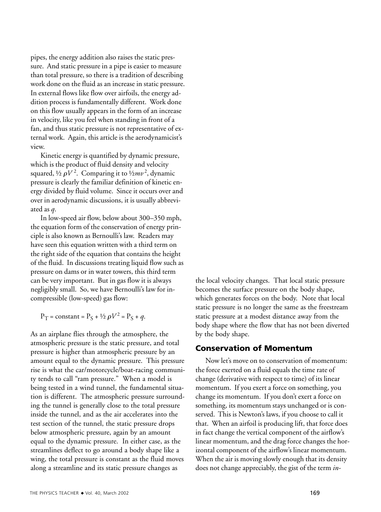pipes, the energy addition also raises the static pressure. And static pressure in a pipe is easier to measure than total pressure, so there is a tradition of describing work done on the fluid as an increase in static pressure. In external flows like flow over airfoils, the energy addition process is fundamentally different. Work done on this flow usually appears in the form of an increase in velocity, like you feel when standing in front of a fan, and thus static pressure is not representative of external work. Again, this article is the aerodynamicist's view.

Kinetic energy is quantified by dynamic pressure, which is the product of fluid density and velocity squared, ½  $\rho V^2$ . Comparing it to ½ $mv^2$ , dynamic pressure is clearly the familiar definition of kinetic energy divided by fluid volume. Since it occurs over and over in aerodynamic discussions, it is usually abbreviated as *q*.

In low-speed air flow, below about 300–350 mph, the equation form of the conservation of energy principle is also known as Bernoulli's law. Readers may have seen this equation written with a third term on the right side of the equation that contains the height of the fluid. In discussions treating liquid flow such as pressure on dams or in water towers, this third term can be very important. But in gas flow it is always negligibly small. So, we have Bernoulli's law for incompressible (low-speed) gas flow:

 $P_T = \text{constant} = P_S + \frac{1}{2} \rho V^2 = P_S + q.$ 

As an airplane flies through the atmosphere, the atmospheric pressure is the static pressure, and total pressure is higher than atmospheric pressure by an amount equal to the dynamic pressure. This pressure rise is what the car/motorcycle/boat-racing community tends to call "ram pressure." When a model is being tested in a wind tunnel, the fundamental situation is different. The atmospheric pressure surrounding the tunnel is generally close to the total pressure inside the tunnel, and as the air accelerates into the test section of the tunnel, the static pressure drops below atmospheric pressure, again by an amount equal to the dynamic pressure. In either case, as the streamlines deflect to go around a body shape like a wing, the total pressure is constant as the fluid moves along a streamline and its static pressure changes as

the local velocity changes. That local static pressure becomes the surface pressure on the body shape, which generates forces on the body. Note that local static pressure is no longer the same as the freestream static pressure at a modest distance away from the body shape where the flow that has not been diverted by the body shape.

# **Conservation of Momentum**

Now let's move on to conservation of momentum: the force exerted on a fluid equals the time rate of change (derivative with respect to time) of its linear momentum. If you exert a force on something, you change its momentum. If you don't exert a force on something, its momentum stays unchanged or is conserved. This is Newton's laws, if you choose to call it that. When an airfoil is producing lift, that force does in fact change the vertical component of the airflow's linear momentum, and the drag force changes the horizontal component of the airflow's linear momentum. When the air is moving slowly enough that its density does not change appreciably, the gist of the term *in-*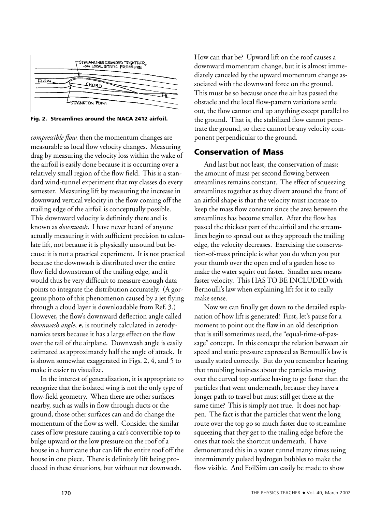

**Fig. 2. Streamlines around the NACA 2412 airfoil.**

*compressible flow,* then the momentum changes are measurable as local flow velocity changes. Measuring drag by measuring the velocity loss within the wake of the airfoil is easily done because it is occurring over a relatively small region of the flow field. This is a standard wind-tunnel experiment that my classes do every semester. Measuring lift by measuring the increase in downward vertical velocity in the flow coming off the trailing edge of the airfoil is conceptually possible. This downward velocity is definitely there and is known as *downwash*. I have never heard of anyone actually measuring it with sufficient precision to calculate lift, not because it is physically unsound but because it is not a practical experiment. It is not practical because the downwash is distributed over the entire flow field downstream of the trailing edge, and it would thus be very difficult to measure enough data points to integrate the distribution accurately. (A gorgeous photo of this phenomenon caused by a jet flying through a cloud layer is downloadable from Ref. 3.) However, the flow's downward deflection angle called downwash angle,  $\epsilon$ , is routinely calculated in aerodynamics texts because it has a large effect on the flow over the tail of the airplane. Downwash angle is easily estimated as approximately half the angle of attack. It is shown somewhat exaggerated in Figs. 2, 4, and 5 to make it easier to visualize.

In the interest of generalization, it is appropriate to recognize that the isolated wing is not the only type of flow-field geometry. When there are other surfaces nearby, such as walls in flow through ducts or the ground, those other surfaces can and do change the momentum of the flow as well. Consider the similar cases of low pressure causing a car's convertible top to bulge upward or the low pressure on the roof of a house in a hurricane that can lift the entire roof off the house in one piece. There is definitely lift being produced in these situations, but without net downwash.

How can that be? Upward lift on the roof causes a downward momentum change, but it is almost immediately canceled by the upward momentum change associated with the downward force on the ground. This must be so because once the air has passed the obstacle and the local flow-pattern variations settle out, the flow cannot end up anything except parallel to the ground. That is, the stabilized flow cannot penetrate the ground, so there cannot be any velocity component perpendicular to the ground.

#### **Conservation of Mass**

And last but not least, the conservation of mass: the amount of mass per second flowing between streamlines remains constant. The effect of squeezing streamlines together as they divert around the front of an airfoil shape is that the velocity must increase to keep the mass flow constant since the area between the streamlines has become smaller. After the flow has passed the thickest part of the airfoil and the streamlines begin to spread out as they approach the trailing edge, the velocity decreases. Exercising the conservation-of-mass principle is what you do when you put your thumb over the open end of a garden hose to make the water squirt out faster. Smaller area means faster velocity. This HAS TO BE INCLUDED with Bernoulli's law when explaining lift for it to really make sense.

Now we can finally get down to the detailed explanation of how lift is generated! First, let's pause for a moment to point out the flaw in an old description that is still sometimes used, the "equal-time-of-passage" concept. In this concept the relation between air speed and static pressure expressed as Bernoulli's law is usually stated correctly. But do you remember hearing that troubling business about the particles moving over the curved top surface having to go faster than the particles that went underneath, because they have a longer path to travel but must still get there at the same time? This is simply not true. It does not happen. The fact is that the particles that went the long route over the top go so much faster due to streamline squeezing that they get to the trailing edge before the ones that took the shortcut underneath. I have demonstrated this in a water tunnel many times using intermittently pulsed hydrogen bubbles to make the flow visible. And FoilSim can easily be made to show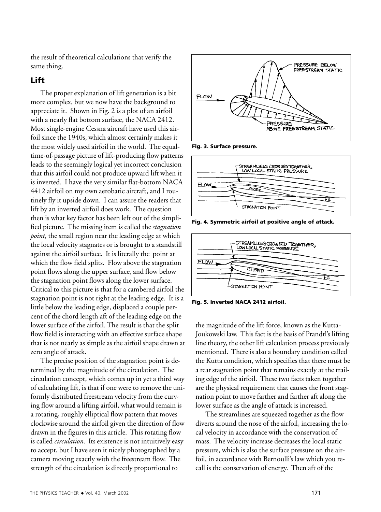the result of theoretical calculations that verify the same thing.

# **Lift**

The proper explanation of lift generation is a bit more complex, but we now have the background to appreciate it. Shown in Fig. 2 is a plot of an airfoil with a nearly flat bottom surface, the NACA 2412. Most single-engine Cessna aircraft have used this airfoil since the 1940s, which almost certainly makes it the most widely used airfoil in the world. The equaltime-of-passage picture of lift-producing flow patterns leads to the seemingly logical yet incorrect conclusion that this airfoil could not produce upward lift when it is inverted. I have the very similar flat-bottom NACA 4412 airfoil on my own aerobatic aircraft, and I routinely fly it upside down. I can assure the readers that lift by an inverted airfoil does work. The question then is what key factor has been left out of the simplified picture. The missing item is called the *stagnation point*, the small region near the leading edge at which the local velocity stagnates or is brought to a standstill against the airfoil surface. It is literally the point at which the flow field splits. Flow above the stagnation point flows along the upper surface, and flow below the stagnation point flows along the lower surface. Critical to this picture is that for a cambered airfoil the stagnation point is not right at the leading edge. It is a little below the leading edge, displaced a couple percent of the chord length aft of the leading edge on the lower surface of the airfoil. The result is that the split flow field is interacting with an effective surface shape that is not nearly as simple as the airfoil shape drawn at zero angle of attack.

The precise position of the stagnation point is determined by the magnitude of the circulation. The circulation concept, which comes up in yet a third way of calculating lift, is that if one were to remove the uniformly distributed freestream velocity from the curving flow around a lifting airfoil, what would remain is a rotating, roughly elliptical flow pattern that moves clockwise around the airfoil given the direction of flow drawn in the figures in this article. This rotating flow is called *circulation*. Its existence is not intuitively easy to accept, but I have seen it nicely photographed by a camera moving exactly with the freestream flow. The strength of the circulation is directly proportional to



**Fig. 3. Surface pressure.**



**Fig. 4. Symmetric airfoil at positive angle of attack.**



**Fig. 5. Inverted NACA 2412 airfoil.**

the magnitude of the lift force, known as the Kutta-Joukowski law. This fact is the basis of Prandtl's lifting line theory, the other lift calculation process previously mentioned. There is also a boundary condition called the Kutta condition, which specifies that there must be a rear stagnation point that remains exactly at the trailing edge of the airfoil. These two facts taken together are the physical requirement that causes the front stagnation point to move farther and farther aft along the lower surface as the angle of attack is increased.

The streamlines are squeezed together as the flow diverts around the nose of the airfoil, increasing the local velocity in accordance with the conservation of mass. The velocity increase decreases the local static pressure, which is also the surface pressure on the airfoil, in accordance with Bernoulli's law which you recall is the conservation of energy. Then aft of the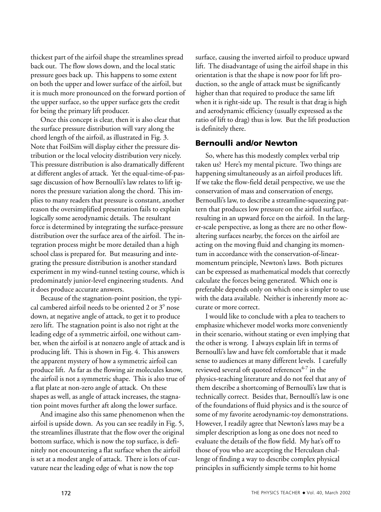thickest part of the airfoil shape the streamlines spread back out. The flow slows down, and the local static pressure goes back up. This happens to some extent on both the upper and lower surface of the airfoil, but it is much more pronounced on the forward portion of the upper surface, so the upper surface gets the credit for being the primary lift producer.

Once this concept is clear, then it is also clear that the surface pressure distribution will vary along the chord length of the airfoil, as illustrated in Fig. 3. Note that FoilSim will display either the pressure distribution or the local velocity distribution very nicely. This pressure distribution is also dramatically different at different angles of attack. Yet the equal-time-of-passage discussion of how Bernoulli's law relates to lift ignores the pressure variation along the chord. This implies to many readers that pressure is constant, another reason the oversimplified presentation fails to explain logically some aerodynamic details. The resultant force is determined by integrating the surface-pressure distribution over the surface area of the airfoil. The integration process might be more detailed than a high school class is prepared for. But measuring and integrating the pressure distribution is another standard experiment in my wind-tunnel testing course, which is predominately junior-level engineering students. And it does produce accurate answers.

Because of the stagnation-point position, the typical cambered airfoil needs to be oriented 2 or  $3^\circ$  nose down, at negative angle of attack, to get it to produce zero lift. The stagnation point is also not right at the leading edge of a symmetric airfoil, one without camber, when the airfoil is at nonzero angle of attack and is producing lift. This is shown in Fig. 4. This answers the apparent mystery of how a symmetric airfoil can produce lift. As far as the flowing air molecules know, the airfoil is not a symmetric shape. This is also true of a flat plate at non-zero angle of attack. On these shapes as well, as angle of attack increases, the stagnation point moves further aft along the lower surface.

And imagine also this same phenomenon when the airfoil is upside down. As you can see readily in Fig. 5, the streamlines illustrate that the flow over the original bottom surface, which is now the top surface, is definitely not encountering a flat surface when the airfoil is set at a modest angle of attack. There is lots of curvature near the leading edge of what is now the top

surface, causing the inverted airfoil to produce upward lift. The disadvantage of using the airfoil shape in this orientation is that the shape is now poor for lift production, so the angle of attack must be significantly higher than that required to produce the same lift when it is right-side up. The result is that drag is high and aerodynamic efficiency (usually expressed as the ratio of lift to drag) thus is low. But the lift production is definitely there.

#### **Bernoulli and/or Newton**

So, where has this modestly complex verbal trip taken us? Here's my mental picture. Two things are happening simultaneously as an airfoil produces lift. If we take the flow-field detail perspective, we use the conservation of mass and conservation of energy, Bernoulli's law, to describe a streamline-squeezing pattern that produces low pressure on the airfoil surface, resulting in an upward force on the airfoil. In the larger-scale perspective, as long as there are no other flowaltering surfaces nearby, the forces on the airfoil are acting on the moving fluid and changing its momentum in accordance with the conservation-of-linearmomentum principle, Newton's laws. Both pictures can be expressed as mathematical models that correctly calculate the forces being generated. Which one is preferable depends only on which one is simpler to use with the data available. Neither is inherently more accurate or more correct.

I would like to conclude with a plea to teachers to emphasize whichever model works more conveniently in their scenario, without stating or even implying that the other is wrong. I always explain lift in terms of Bernoulli's law and have felt comfortable that it made sense to audiences at many different levels. I carefully reviewed several oft quoted references $4-7$  in the physics-teaching literature and do not feel that any of them describe a shortcoming of Bernoulli's law that is technically correct. Besides that, Bernoulli's law is one of the foundations of fluid physics and is the source of some of my favorite aerodynamic-toy demonstrations. However, I readily agree that Newton's laws may be a simpler description as long as one does not need to evaluate the details of the flow field. My hat's off to those of you who are accepting the Herculean challenge of finding a way to describe complex physical principles in sufficiently simple terms to hit home